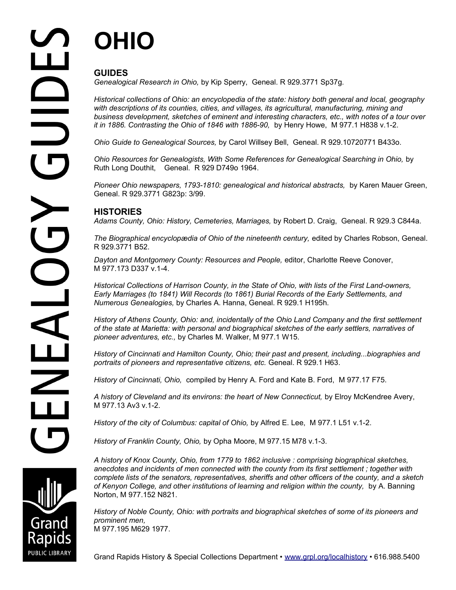# **OHIO**

## **GUIDES**

*Genealogical Research in Ohio,* by Kip Sperry, Geneal. R 929.3771 Sp37g.

*Historical collections of Ohio: an encyclopedia of the state: history both general and local, geography with descriptions of its counties, cities, and villages, its agricultural, manufacturing, mining and business development, sketches of eminent and interesting characters, etc., with notes of a tour over it in 1886. Contrasting the Ohio of 1846 with 1886-90,* by Henry Howe, M 977.1 H838 v.1-2.

*Ohio Guide to Genealogical Sources,* by Carol Willsey Bell, Geneal. R 929.10720771 B433o.

*Ohio Resources for Genealogists, With Some References for Genealogical Searching in Ohio,* by Ruth Long Douthit, Geneal. R 929 D749o 1964.

*Pioneer Ohio newspapers, 1793-1810: genealogical and historical abstracts,* by Karen Mauer Green, Geneal. R 929.3771 G823p: 3/99.

### **HISTORIES**

*Adams County, Ohio: History, Cemeteries, Marriages,* by Robert D. Craig, Geneal. R 929.3 C844a.

The Biographical encyclopædia of Ohio of the nineteenth century, edited by Charles Robson, Geneal. R 929.3771 B52.

*Dayton and Montgomery County: Resources and People,* editor, Charlotte Reeve Conover, M 977.173 D337 v.1-4.

*Historical Collections of Harrison County, in the State of Ohio, with lists of the First Land-owners, Early Marriages (to 1841) Will Records (to 1861) Burial Records of the Early Settlements, and Numerous Genealogies,* by Charles A. Hanna, Geneal. R 929.1 H195h.

*History of Athens County, Ohio: and, incidentally of the Ohio Land Company and the first settlement of the state at Marietta: with personal and biographical sketches of the early settlers, narratives of pioneer adventures, etc.,* by Charles M. Walker, M 977.1 W15.

*History of Cincinnati and Hamilton County, Ohio; their past and present, including...biographies and portraits of pioneers and representative citizens, etc.* Geneal. R 929.1 H63.

*History of Cincinnati, Ohio,* compiled by Henry A. Ford and Kate B. Ford, M 977.17 F75.

*A history of Cleveland and its environs: the heart of New Connecticut,* by Elroy McKendree Avery, M 977.13 Av3 v.1-2.

*History of the city of Columbus: capital of Ohio,* by Alfred E. Lee, M 977.1 L51 v.1-2.

*History of Franklin County, Ohio,* by Opha Moore, M 977.15 M78 v.1-3.

*A history of Knox County, Ohio, from 1779 to 1862 inclusive : comprising biographical sketches, anecdotes and incidents of men connected with the county from its first settlement ; together with complete lists of the senators, representatives, sheriffs and other officers of the county, and a sketch of Kenyon College, and other institutions of learning and religion within the county,* by A. Banning Norton, M 977.152 N821.

*History of Noble County, Ohio: with portraits and biographical sketches of some of its pioneers and prominent men,*  M 977.195 M629 1977.

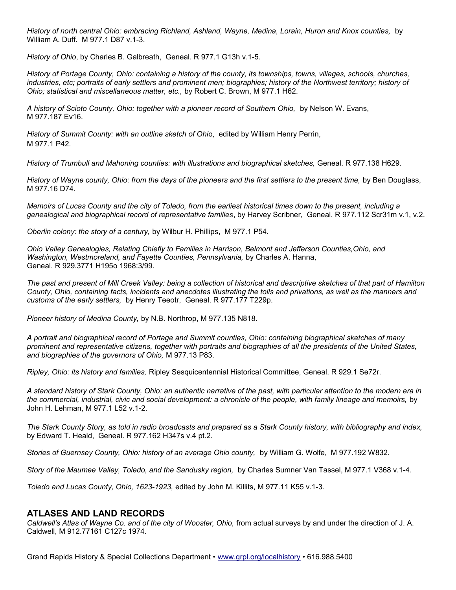*History of north central Ohio: embracing Richland, Ashland, Wayne, Medina, Lorain, Huron and Knox counties,* by William A. Duff. M 977.1 D87 v.1-3.

*History of Ohio*, by Charles B. Galbreath, Geneal. R 977.1 G13h v.1-5.

*History of Portage County, Ohio: containing a history of the county, its townships, towns, villages, schools, churches, industries, etc; portraits of early settlers and prominent men; biographies; history of the Northwest territory; history of Ohio; statistical and miscellaneous matter, etc.,* by Robert C. Brown, M 977.1 H62.

*A history of Scioto County, Ohio: together with a pioneer record of Southern Ohio,* by Nelson W. Evans, M 977.187 Ev16.

*History of Summit County: with an outline sketch of Ohi*o, edited by William Henry Perrin, M 977.1 P42.

*History of Trumbull and Mahoning counties: with illustrations and biographical sketches,* Geneal. R 977.138 H629.

*History of Wayne county, Ohio: from the days of the pioneers and the first settlers to the present time,* by Ben Douglass, M 977.16 D74.

*Memoirs of Lucas County and the city of Toledo, from the earliest historical times down to the present, including a genealogical and biographical record of representative families*, by Harvey Scribner, Geneal. R 977.112 Scr31m v.1, v.2.

*Oberlin colony: the story of a century,* by Wilbur H. Phillips, M 977.1 P54.

*Ohio Valley Genealogies, Relating Chiefly to Families in Harrison, Belmont and Jefferson Counties,Ohio, and Washington, Westmoreland, and Fayette Counties, Pennsylvania,* by Charles A. Hanna, Geneal. R 929.3771 H195o 1968:3/99.

*The past and present of Mill Creek Valley: being a collection of historical and descriptive sketches of that part of Hamilton County, Ohio, containing facts, incidents and anecdotes illustrating the toils and privations, as well as the manners and customs of the early settlers,* by Henry Teeotr, Geneal. R 977.177 T229p.

*Pioneer history of Medina County,* by N.B. Northrop, M 977.135 N818.

*A portrait and biographical record of Portage and Summit counties, Ohio: containing biographical sketches of many prominent and representative citizens, together with portraits and biographies of all the presidents of the United States, and biographies of the governors of Ohio,* M 977.13 P83.

*Ripley, Ohio: its history and families,* Ripley Sesquicentennial Historical Committee, Geneal. R 929.1 Se72r.

*A standard history of Stark County, Ohio: an authentic narrative of the past, with particular attention to the modern era in the commercial, industrial, civic and social development: a chronicle of the people, with family lineage and memoirs,* by John H. Lehman, M 977.1 L52 v.1-2.

*The Stark County Story, as told in radio broadcasts and prepared as a Stark County history, with bibliography and index,* by Edward T. Heald, Geneal. R 977.162 H347s v.4 pt.2.

*Stories of Guernsey County, Ohio: history of an average Ohio county,* by William G. Wolfe, M 977.192 W832.

*Story of the Maumee Valley, Toledo, and the Sandusky region,* by Charles Sumner Van Tassel, M 977.1 V368 v.1-4.

*Toledo and Lucas County, Ohio, 1623-1923,* edited by John M. Killits, M 977.11 K55 v.1-3.

#### **ATLASES AND LAND RECORDS**

*Caldwell's Atlas of Wayne Co. and of the city of Wooster, Ohio,* from actual surveys by and under the direction of J. A. Caldwell, M 912.77161 C127c 1974.

Grand Rapids History & Special Collections Department • [www.grpl.org/localhistory](http://www.grpl.org/localhistory) • 616.988.5400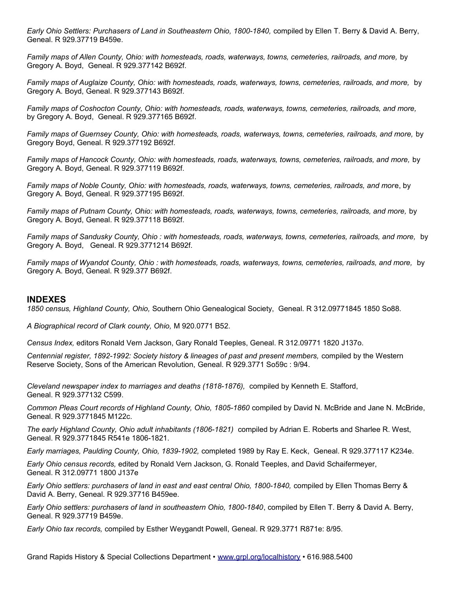*Early Ohio Settlers: Purchasers of Land in Southeastern Ohio, 1800-1840,* compiled by Ellen T. Berry & David A. Berry, Geneal. R 929.37719 B459e.

*Family maps of Allen County, Ohio: with homesteads, roads, waterways, towns, cemeteries, railroads, and more,* by Gregory A. Boyd, Geneal. R 929.377142 B692f.

*Family maps of Auglaize County, Ohio: with homesteads, roads, waterways, towns, cemeteries, railroads, and more,* by Gregory A. Boyd, Geneal. R 929.377143 B692f.

*Family maps of Coshocton County, Ohio: with homesteads, roads, waterways, towns, cemeteries, railroads, and more,* by Gregory A. Boyd, Geneal. R 929.377165 B692f.

*Family maps of Guernsey County, Ohio: with homesteads, roads, waterways, towns, cemeteries, railroads, and more,* by Gregory Boyd, Geneal. R 929.377192 B692f.

*Family maps of Hancock County, Ohio: with homesteads, roads, waterways, towns, cemeteries, railroads, and more,* by Gregory A. Boyd, Geneal. R 929.377119 B692f.

*Family maps of Noble County, Ohio: with homesteads, roads, waterways, towns, cemeteries, railroads, and mor*e, by Gregory A. Boyd, Geneal. R 929.377195 B692f.

*Family maps of Putnam County, Ohio: with homesteads, roads, waterways, towns, cemeteries, railroads, and more,* by Gregory A. Boyd, Geneal. R 929.377118 B692f.

*Family maps of Sandusky County, Ohio : with homesteads, roads, waterways, towns, cemeteries, railroads, and more,* by Gregory A. Boyd, Geneal. R 929.3771214 B692f.

*Family maps of Wyandot County, Ohio : with homesteads, roads, waterways, towns, cemeteries, railroads, and more,* by Gregory A. Boyd, Geneal. R 929.377 B692f.

#### **INDEXES**

*1850 census, Highland County, Ohio,* Southern Ohio Genealogical Society, Geneal. R 312.09771845 1850 So88.

*A Biographical record of Clark county, Ohio,* M 920.0771 B52.

*Census Index,* editors Ronald Vern Jackson, Gary Ronald Teeples, Geneal. R 312.09771 1820 J137o.

*Centennial register, 1892-1992: Society history & lineages of past and present members,* compiled by the Western Reserve Society, Sons of the American Revolution, Geneal. R 929.3771 So59c : 9/94.

*Cleveland newspaper index to marriages and deaths (1818-1876),* compiled by Kenneth E. Stafford, Geneal. R 929.377132 C599.

*Common Pleas Court records of Highland County, Ohio, 1805-1860* compiled by David N. McBride and Jane N. McBride, Geneal. R 929.3771845 M122c.

*The early Highland County, Ohio adult inhabitants (1806-1821)* compiled by Adrian E. Roberts and Sharlee R. West, Geneal. R 929.3771845 R541e 1806-1821.

*Early marriages, Paulding County, Ohio, 1839-1902,* completed 1989 by Ray E. Keck, Geneal. R 929.377117 K234e.

*Early Ohio census records,* edited by Ronald Vern Jackson, G. Ronald Teeples, and David Schaifermeyer, Geneal. R 312.09771 1800 J137e

*Early Ohio settlers: purchasers of land in east and east central Ohio, 1800-1840, compiled by Ellen Thomas Berry &* David A. Berry, Geneal. R 929.37716 B459ee.

*Early Ohio settlers: purchasers of land in southeastern Ohio, 1800-1840*, compiled by Ellen T. Berry & David A. Berry, Geneal. R 929.37719 B459e.

*Early Ohio tax records,* compiled by Esther Weygandt Powell, Geneal. R 929.3771 R871e: 8/95.